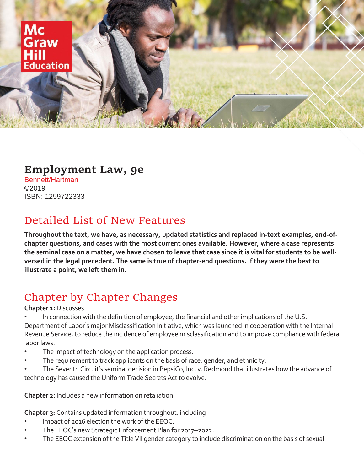

### **Employment Law, 9e**

Bennett/Hartman ©2019 ISBN: 1259722333

## Detailed List of New Features

**Throughout the text, we have, as necessary, updated statistics and replaced in-text examples, end-ofchapter questions, and cases with the most current ones available. However, where a case represents the seminal case on a matter, we have chosen to leave that case since it is vital for students to be wellversed in the legal precedent. The same is true of chapter-end questions. If they were the best to illustrate a point, we left them in.** 

# Chapter by Chapter Changes

#### **Chapter 1:** Discusses

- In connection with the definition of employee, the financial and other implications of the U.S. Department of Labor's major Misclassification Initiative, which was launched in cooperation with the Internal Revenue Service, to reduce the incidence of employee misclassification and to improve compliance with federal labor laws.
- The impact of technology on the application process.
- The requirement to track applicants on the basis of race, gender, and ethnicity.
- The Seventh Circuit's seminal decision in PepsiCo, Inc. v. Redmond that illustrates how the advance of technology has caused the Uniform Trade Secrets Act to evolve.

**Chapter 2:** Includes a new information on retaliation.

**Chapter 3:** Contains updated information throughout, including

- Impact of 2016 election the work of the EEOC.
- The EEOC's new Strategic Enforcement Plan for 2017–2022.
- The EEOC extension of the Title VII gender category to include discrimination on the basis of sexual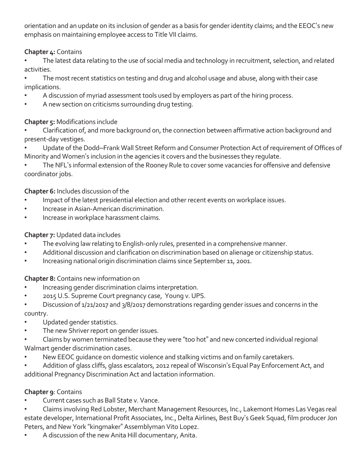orientation and an update on its inclusion of gender as a basis for gender identity claims; and the EEOC's new emphasis on maintaining employee access to Title VII claims.

#### **Chapter 4:** Contains

The latest data relating to the use of social media and technology in recruitment, selection, and related activities.

The most recent statistics on testing and drug and alcohol usage and abuse, along with their case implications.

- A discussion of myriad assessment tools used by employers as part of the hiring process.
- A new section on criticisms surrounding drug testing.

#### **Chapter 5:** Modifications include

• Clarification of, and more background on, the connection between affirmative action background and present-day vestiges.

• Update of the Dodd–Frank Wall Street Reform and Consumer Protection Act of requirement of Offices of Minority and Women's inclusion in the agencies it covers and the businesses they regulate.

The NFL's informal extension of the Rooney Rule to cover some vacancies for offensive and defensive coordinator jobs.

#### **Chapter 6:** Includes discussion of the

- Impact of the latest presidential election and other recent events on workplace issues.
- Increase in Asian-American discrimination.
- Increase in workplace harassment claims.

#### **Chapter 7:** Updated data includes

- The evolving law relating to English-only rules, presented in a comprehensive manner.
- Additional discussion and clarification on discrimination based on alienage or citizenship status.
- Increasing national origin discrimination claims since September 11, 2001.

#### **Chapter 8:** Contains new information on

- Increasing gender discrimination claims interpretation.
- 2015 U.S. Supreme Court pregnancy case, Young v. UPS.
- Discussion of 1/21/2017 and 3/8/2017 demonstrations regarding gender issues and concerns in the country.
- Updated gender statistics.
- The new Shriver report on gender issues.
- Claims by women terminated because they were "too hot" and new concerted individual regional Walmart gender discrimination cases.
- New EEOC quidance on domestic violence and stalking victims and on family caretakers.
- Addition of glass cliffs, glass escalators, 2012 repeal of Wisconsin's Equal Pay Enforcement Act, and additional Pregnancy Discrimination Act and lactation information.

#### **Chapter 9**: Contains

- Current cases such as Ball State v. Vance.
- Claims involving Red Lobster, Merchant Management Resources, Inc., Lakemont Homes Las Vegas real estate developer, International Profit Associates, Inc., Delta Airlines, Best Buy's Geek Squad, film producer Jon Peters, and New York "kingmaker" Assemblyman Vito Lopez.
- A discussion of the new Anita Hill documentary, Anita.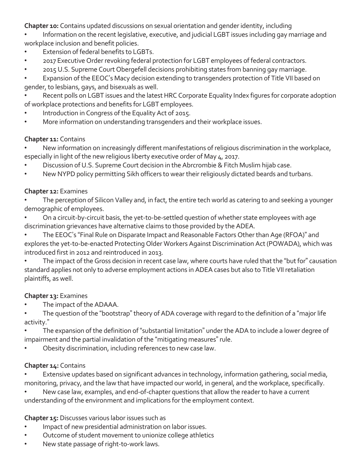**Chapter 10:** Contains updated discussions on sexual orientation and gender identity, including

• Information on the recent legislative, executive, and judicial LGBT issues including gay marriage and workplace inclusion and benefit policies.

- Extension of federal benefits to LGBTs.
- 2017 Executive Order revoking federal protection for LGBT employees of federal contractors.
- 2015 U.S. Supreme Court Obergefell decisions prohibiting states from banning gay marriage.

• Expansion of the EEOC's Macy decision extending to transgenders protection of Title VII based on gender, to lesbians, gays, and bisexuals as well.

Recent polls on LGBT issues and the latest HRC Corporate Equality Index figures for corporate adoption of workplace protections and benefits for LGBT employees.

- Introduction in Congress of the Equality Act of 2015.
- More information on understanding transgenders and their workplace issues.

#### **Chapter 11:** Contains

• New information on increasingly different manifestations of religious discrimination in the workplace, especially in light of the new religious liberty executive order of May 4, 2017.

- Discussion of U.S. Supreme Court decision in the Abrcrombie & Fitch Muslim hijab case.
- New NYPD policy permitting Sikh officers to wear their religiously dictated beards and turbans.

#### **Chapter 12:** Examines

The perception of Silicon Valley and, in fact, the entire tech world as catering to and seeking a younger demographic of employees.

• On a circuit-by-circuit basis, the yet-to-be-settled question of whether state employees with age discrimination grievances have alternative claims to those provided by the ADEA.

• The EEOC's "Final Rule on Disparate Impact and Reasonable Factors Other than Age (RFOA)" and explores the yet-to-be-enacted Protecting Older Workers Against Discrimination Act (POWADA), which was introduced first in 2012 and reintroduced in 2013.

The impact of the Gross decision in recent case law, where courts have ruled that the "but for" causation standard applies not only to adverse employment actions in ADEA cases but also to Title VII retaliation plaintiffs, as well.

#### **Chapter 13:** Examines

- The impact of the ADAAA.
- The question of the "bootstrap" theory of ADA coverage with regard to the definition of a "major life activity."
- The expansion of the definition of "substantial limitation" under the ADA to include a lower degree of impairment and the partial invalidation of the "mitigating measures" rule.
- Obesity discrimination, including references to new case law.

#### **Chapter 14:** Contains

Extensive updates based on significant advances in technology, information gathering, social media, monitoring, privacy, and the law that have impacted our world, in general, and the workplace, specifically.

New case law, examples, and end-of-chapter questions that allow the reader to have a current understanding of the environment and implications for the employment context.

#### **Chapter 15:** Discusses various labor issues such as

- Impact of new presidential administration on labor issues.
- Outcome of student movement to unionize college athletics
- New state passage of right-to-work laws.